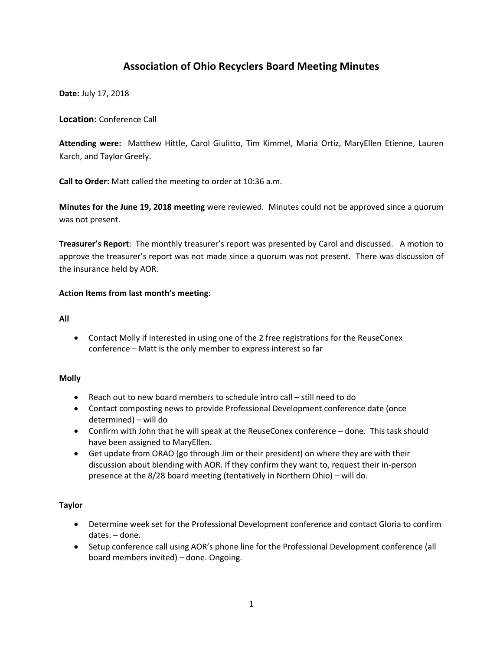# **Association of Ohio Recyclers Board Meeting Minutes**

**Date:** July 17, 2018

**Location:** Conference Call

**Attending were:** Matthew Hittle, Carol Giulitto, Tim Kimmel, Maria Ortiz, MaryEllen Etienne, Lauren Karch, and Taylor Greely.

**Call to Order:** Matt called the meeting to order at 10:36 a.m.

**Minutes for the June 19, 2018 meeting** were reviewed. Minutes could not be approved since a quorum was not present.

**Treasurer's Report**: The monthly treasurer's report was presented by Carol and discussed. A motion to approve the treasurer's report was not made since a quorum was not present. There was discussion of the insurance held by AOR.

## **Action Items from last month's meeting**:

#### **All**

 Contact Molly if interested in using one of the 2 free registrations for the ReuseConex conference – Matt is the only member to express interest so far

### **Molly**

- Reach out to new board members to schedule intro call still need to do
- Contact composting news to provide Professional Development conference date (once determined) – will do
- Confirm with John that he will speak at the ReuseConex conference done. This task should have been assigned to MaryEllen.
- Get update from ORAO (go through Jim or their president) on where they are with their discussion about blending with AOR. If they confirm they want to, request their in-person presence at the 8/28 board meeting (tentatively in Northern Ohio) – will do.

### **Taylor**

- Determine week set for the Professional Development conference and contact Gloria to confirm dates. – done.
- Setup conference call using AOR's phone line for the Professional Development conference (all board members invited) – done. Ongoing.